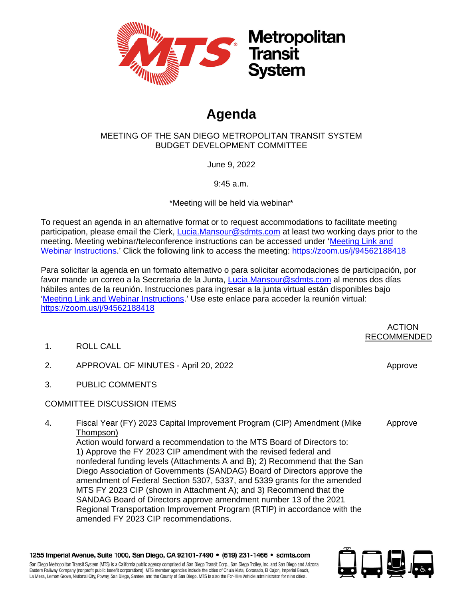

## **Agenda**

## MEETING OF THE SAN DIEGO METROPOLITAN TRANSIT SYSTEM BUDGET DEVELOPMENT COMMITTEE

June 9, 2022

9:45 a.m.

\*Meeting will be held via webinar\*

To request an agenda in an alternative format or to request accommodations to facilitate meeting participation, please email the Clerk, *Lucia.Mansour@sdmts.com* at least two working days prior to the meeting. Meeting webinar/teleconference instructions can be accessed under ['Meeting Link and](https://www.sdmts.com/about-mts-meetings-and-agendas/other-committee)  [Webinar Instructions.](https://www.sdmts.com/about-mts-meetings-and-agendas/other-committee)' Click the following link to access the meeting:<https://zoom.us/j/94562188418>

Para solicitar la agenda en un formato alternativo o para solicitar acomodaciones de participación, por favor mande un correo a la Secretaria de la Junta, [Lucia.Mansour@sdmts.com](mailto:Lucia.Mansour@sdmts.com) al menos dos días hábiles antes de la reunión. Instrucciones para ingresar a la junta virtual están disponibles bajo ['Meeting Link and Webinar Instructions.](https://www.sdmts.com/about-mts-meetings-and-agendas/other-committee)' Use este enlace para acceder la reunión virtual: <https://zoom.us/j/94562188418>

RECOMMENDED 1. ROLL CALL 2. APPROVAL OF MINUTES - April 20, 2022 Approve Approve 3. PUBLIC COMMENTS COMMITTEE DISCUSSION ITEMS 4. Fiscal Year (FY) 2023 Capital Improvement Program (CIP) Amendment (Mike Thompson) Approve Action would forward a recommendation to the MTS Board of Directors to: 1) Approve the FY 2023 CIP amendment with the revised federal and nonfederal funding levels (Attachments A and B); 2) Recommend that the San Diego Association of Governments (SANDAG) Board of Directors approve the amendment of Federal Section 5307, 5337, and 5339 grants for the amended MTS FY 2023 CIP (shown in Attachment A); and 3) Recommend that the

SANDAG Board of Directors approve amendment number 13 of the 2021 Regional Transportation Improvement Program (RTIP) in accordance with the amended FY 2023 CIP recommendations.

La Mesa, Lemon Grove, National City, Poway, San Diego, Santee, and the County of San Diego. MTS is also the For-Hire Vehicle administrator for nine cities.



ACTION